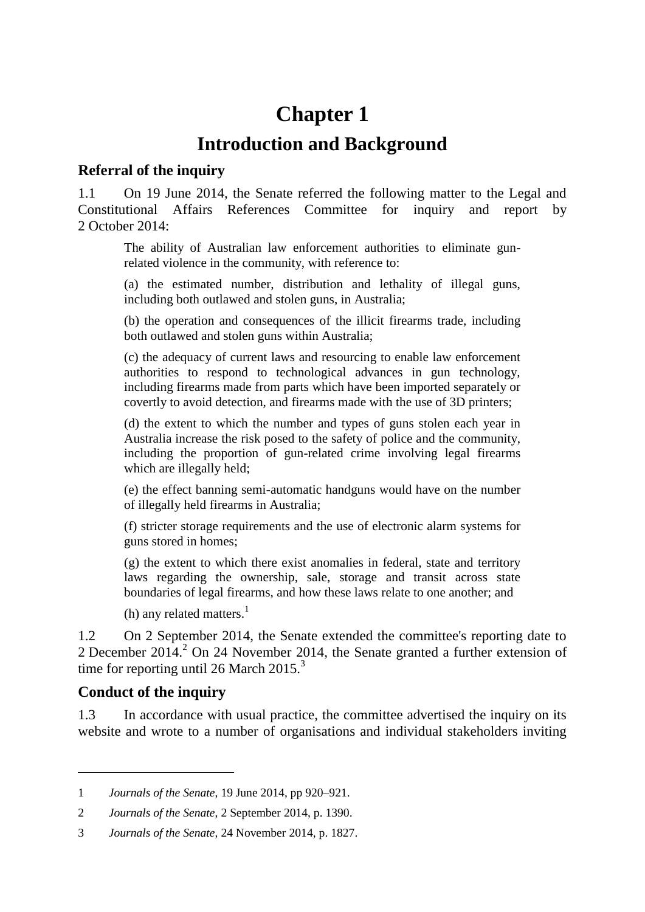# **Chapter 1**

# **Introduction and Background**

#### **Referral of the inquiry**

1.1 On 19 June 2014, the Senate referred the following matter to the Legal and Constitutional Affairs References Committee for inquiry and report by 2 October 2014:

The ability of Australian law enforcement authorities to eliminate gunrelated violence in the community, with reference to:

(a) the estimated number, distribution and lethality of illegal guns, including both outlawed and stolen guns, in Australia;

(b) the operation and consequences of the illicit firearms trade, including both outlawed and stolen guns within Australia;

(c) the adequacy of current laws and resourcing to enable law enforcement authorities to respond to technological advances in gun technology, including firearms made from parts which have been imported separately or covertly to avoid detection, and firearms made with the use of 3D printers;

(d) the extent to which the number and types of guns stolen each year in Australia increase the risk posed to the safety of police and the community, including the proportion of gun-related crime involving legal firearms which are illegally held;

(e) the effect banning semi-automatic handguns would have on the number of illegally held firearms in Australia;

(f) stricter storage requirements and the use of electronic alarm systems for guns stored in homes;

(g) the extent to which there exist anomalies in federal, state and territory laws regarding the ownership, sale, storage and transit across state boundaries of legal firearms, and how these laws relate to one another; and

(h) any related matters.<sup>1</sup>

1.2 On 2 September 2014, the Senate extended the committee's reporting date to 2 December  $2014<sup>2</sup>$  On 24 November 2014, the Senate granted a further extension of time for reporting until 26 March  $2015$ <sup>3</sup>

#### **Conduct of the inquiry**

 $\overline{a}$ 

1.3 In accordance with usual practice, the committee advertised the inquiry on its website and wrote to a number of organisations and individual stakeholders inviting

<sup>1</sup> *Journals of the Senate*, 19 June 2014, pp 920–921.

<sup>2</sup> *Journals of the Senate*, 2 September 2014, p. 1390.

<sup>3</sup> *Journals of the Senate*, 24 November 2014, p. 1827.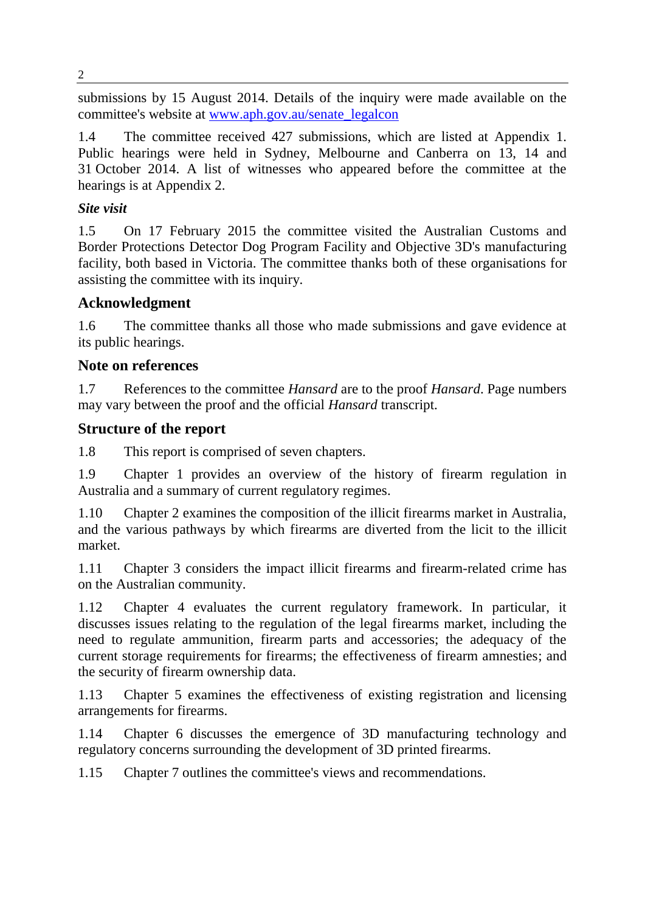submissions by 15 August 2014. Details of the inquiry were made available on the committee's website at [www.aph.gov.au/senate\\_legalcon](http://www.aph.gov.au/senate_legalcon)

1.4 The committee received 427 submissions, which are listed at Appendix 1. Public hearings were held in Sydney, Melbourne and Canberra on 13, 14 and 31 October 2014. A list of witnesses who appeared before the committee at the hearings is at Appendix 2.

#### *Site visit*

1.5 On 17 February 2015 the committee visited the Australian Customs and Border Protections Detector Dog Program Facility and Objective 3D's manufacturing facility, both based in Victoria. The committee thanks both of these organisations for assisting the committee with its inquiry.

# **Acknowledgment**

1.6 The committee thanks all those who made submissions and gave evidence at its public hearings.

# **Note on references**

1.7 References to the committee *Hansard* are to the proof *Hansard*. Page numbers may vary between the proof and the official *Hansard* transcript.

# **Structure of the report**

1.8 This report is comprised of seven chapters.

1.9 Chapter 1 provides an overview of the history of firearm regulation in Australia and a summary of current regulatory regimes.

1.10 Chapter 2 examines the composition of the illicit firearms market in Australia, and the various pathways by which firearms are diverted from the licit to the illicit market.

1.11 Chapter 3 considers the impact illicit firearms and firearm-related crime has on the Australian community.

1.12 Chapter 4 evaluates the current regulatory framework. In particular, it discusses issues relating to the regulation of the legal firearms market, including the need to regulate ammunition, firearm parts and accessories; the adequacy of the current storage requirements for firearms; the effectiveness of firearm amnesties; and the security of firearm ownership data.

1.13 Chapter 5 examines the effectiveness of existing registration and licensing arrangements for firearms.

1.14 Chapter 6 discusses the emergence of 3D manufacturing technology and regulatory concerns surrounding the development of 3D printed firearms.

1.15 Chapter 7 outlines the committee's views and recommendations.

2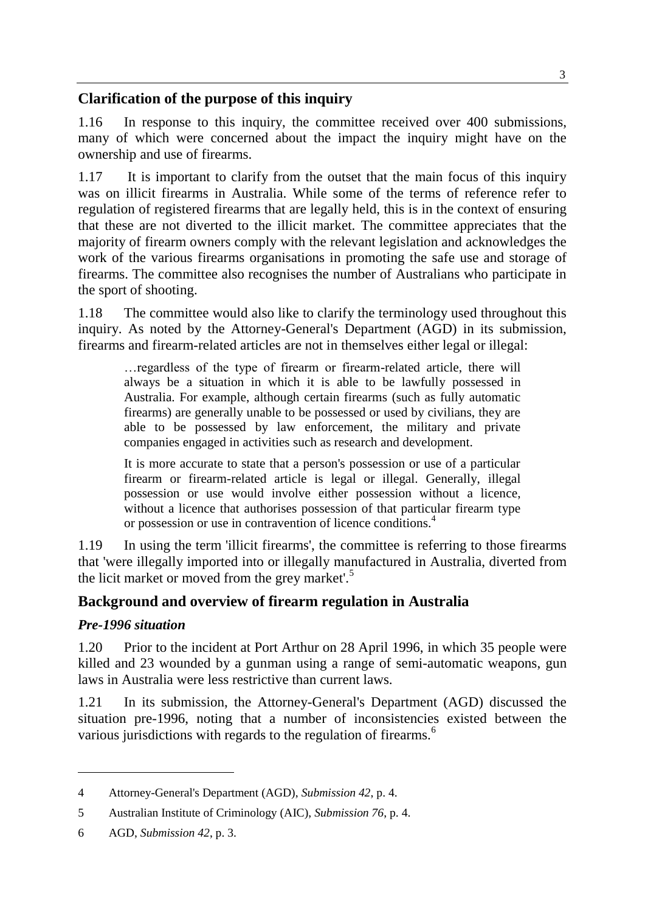# **Clarification of the purpose of this inquiry**

1.16 In response to this inquiry, the committee received over 400 submissions, many of which were concerned about the impact the inquiry might have on the ownership and use of firearms.

1.17 It is important to clarify from the outset that the main focus of this inquiry was on illicit firearms in Australia. While some of the terms of reference refer to regulation of registered firearms that are legally held, this is in the context of ensuring that these are not diverted to the illicit market. The committee appreciates that the majority of firearm owners comply with the relevant legislation and acknowledges the work of the various firearms organisations in promoting the safe use and storage of firearms. The committee also recognises the number of Australians who participate in the sport of shooting.

1.18 The committee would also like to clarify the terminology used throughout this inquiry. As noted by the Attorney-General's Department (AGD) in its submission, firearms and firearm-related articles are not in themselves either legal or illegal:

…regardless of the type of firearm or firearm-related article, there will always be a situation in which it is able to be lawfully possessed in Australia. For example, although certain firearms (such as fully automatic firearms) are generally unable to be possessed or used by civilians, they are able to be possessed by law enforcement, the military and private companies engaged in activities such as research and development.

It is more accurate to state that a person's possession or use of a particular firearm or firearm-related article is legal or illegal. Generally, illegal possession or use would involve either possession without a licence, without a licence that authorises possession of that particular firearm type or possession or use in contravention of licence conditions.<sup>4</sup>

1.19 In using the term 'illicit firearms', the committee is referring to those firearms that 'were illegally imported into or illegally manufactured in Australia, diverted from the licit market or moved from the grey market'.<sup>5</sup>

# **Background and overview of firearm regulation in Australia**

#### *Pre-1996 situation*

 $\overline{a}$ 

1.20 Prior to the incident at Port Arthur on 28 April 1996, in which 35 people were killed and 23 wounded by a gunman using a range of semi-automatic weapons, gun laws in Australia were less restrictive than current laws.

1.21 In its submission, the Attorney-General's Department (AGD) discussed the situation pre-1996, noting that a number of inconsistencies existed between the various jurisdictions with regards to the regulation of firearms.<sup>6</sup>

<sup>4</sup> Attorney-General's Department (AGD), *Submission 42*, p. 4.

<sup>5</sup> Australian Institute of Criminology (AIC), *Submission 76*, p. 4.

<sup>6</sup> AGD, *Submission 42*, p. 3.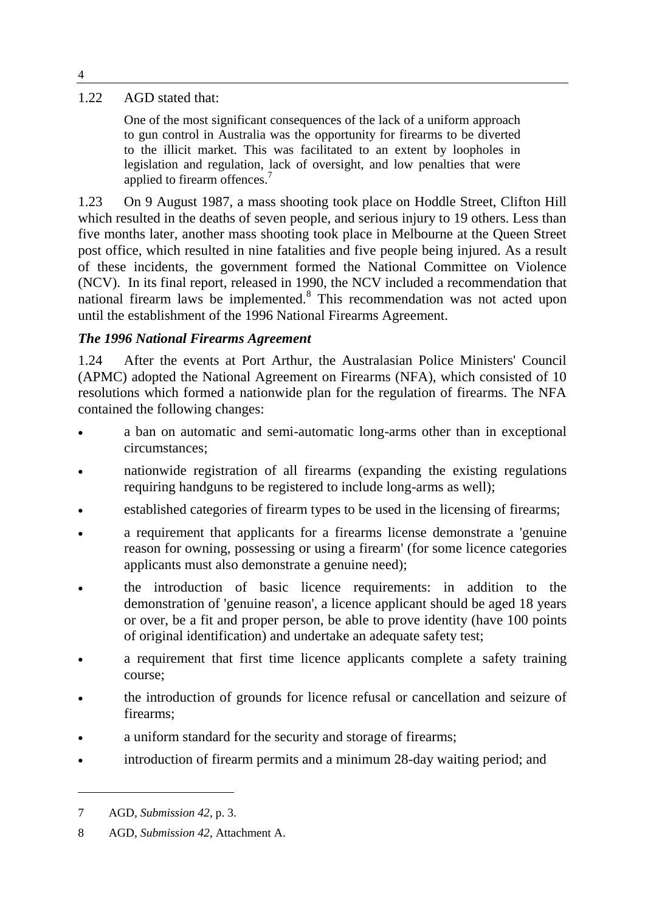#### 1.22 AGD stated that:

One of the most significant consequences of the lack of a uniform approach to gun control in Australia was the opportunity for firearms to be diverted to the illicit market. This was facilitated to an extent by loopholes in legislation and regulation, lack of oversight, and low penalties that were applied to firearm offences.<sup>7</sup>

1.23 On 9 August 1987, a mass shooting took place on Hoddle Street, Clifton Hill which resulted in the deaths of seven people, and serious injury to 19 others. Less than five months later, another mass shooting took place in Melbourne at the Queen Street post office, which resulted in nine fatalities and five people being injured. As a result of these incidents, the government formed the National Committee on Violence (NCV). In its final report, released in 1990, the NCV included a recommendation that national firearm laws be implemented.<sup>8</sup> This recommendation was not acted upon until the establishment of the 1996 National Firearms Agreement.

#### *The 1996 National Firearms Agreement*

1.24 After the events at Port Arthur, the Australasian Police Ministers' Council (APMC) adopted the National Agreement on Firearms (NFA), which consisted of 10 resolutions which formed a nationwide plan for the regulation of firearms. The NFA contained the following changes:

- a ban on automatic and semi-automatic long-arms other than in exceptional circumstances;
- nationwide registration of all firearms (expanding the existing regulations requiring handguns to be registered to include long-arms as well);
- established categories of firearm types to be used in the licensing of firearms;
- a requirement that applicants for a firearms license demonstrate a 'genuine reason for owning, possessing or using a firearm' (for some licence categories applicants must also demonstrate a genuine need);
- the introduction of basic licence requirements: in addition to the demonstration of 'genuine reason', a licence applicant should be aged 18 years or over, be a fit and proper person, be able to prove identity (have 100 points of original identification) and undertake an adequate safety test;
- a requirement that first time licence applicants complete a safety training course;
- the introduction of grounds for licence refusal or cancellation and seizure of firearms;
- a uniform standard for the security and storage of firearms;
- introduction of firearm permits and a minimum 28-day waiting period; and

<sup>7</sup> AGD, *Submission 42*, p. 3.

<sup>8</sup> AGD, *Submission 42*, Attachment A.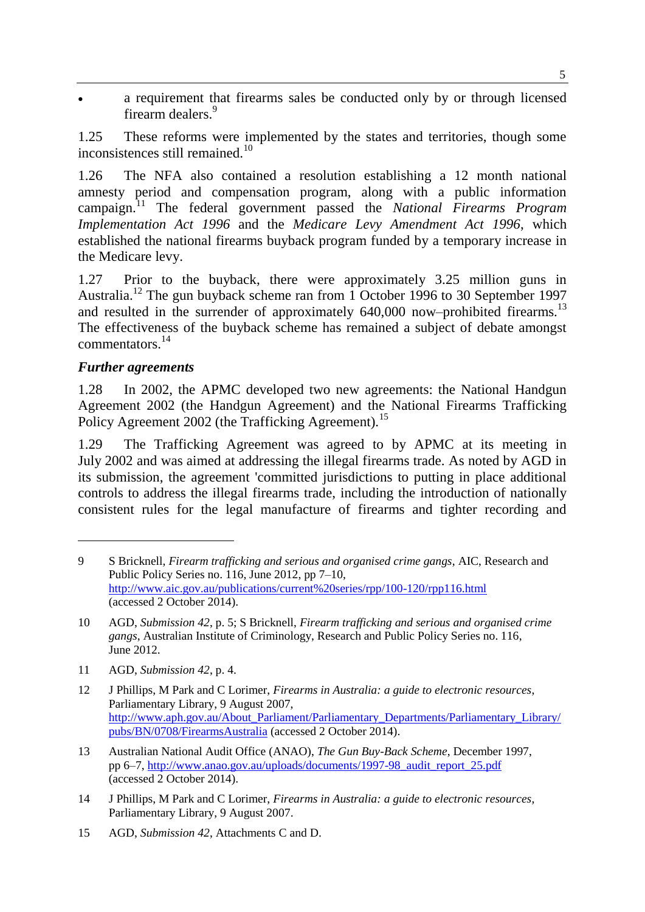a requirement that firearms sales be conducted only by or through licensed firearm dealers.<sup>9</sup>

1.25 These reforms were implemented by the states and territories, though some inconsistences still remained.<sup>10</sup>

1.26 The NFA also contained a resolution establishing a 12 month national amnesty period and compensation program, along with a public information campaign.<sup>11</sup> The federal government passed the *National Firearms Program Implementation Act 1996* and the *Medicare Levy Amendment Act 1996*, which established the national firearms buyback program funded by a temporary increase in the Medicare levy.

1.27 Prior to the buyback, there were approximately 3.25 million guns in Australia.<sup>12</sup> The gun buyback scheme ran from 1 October 1996 to 30 September 1997 and resulted in the surrender of approximately  $640,000$  now–prohibited firearms.<sup>13</sup> The effectiveness of the buyback scheme has remained a subject of debate amongst commentators.<sup>14</sup>

#### *Further agreements*

 $\overline{a}$ 

1.28 In 2002, the APMC developed two new agreements: the National Handgun Agreement 2002 (the Handgun Agreement) and the National Firearms Trafficking Policy Agreement 2002 (the Trafficking Agreement).<sup>15</sup>

1.29 The Trafficking Agreement was agreed to by APMC at its meeting in July 2002 and was aimed at addressing the illegal firearms trade. As noted by AGD in its submission, the agreement 'committed jurisdictions to putting in place additional controls to address the illegal firearms trade, including the introduction of nationally consistent rules for the legal manufacture of firearms and tighter recording and

- 11 AGD, *Submission 42*, p. 4.
- 12 J Phillips, M Park and C Lorimer, *Firearms in Australia: a guide to electronic resources*, Parliamentary Library, 9 August 2007, [http://www.aph.gov.au/About\\_Parliament/Parliamentary\\_Departments/Parliamentary\\_Library/](http://www.aph.gov.au/About_Parliament/Parliamentary_Departments/Parliamentary_Library/pubs/BN/0708/FirearmsAustralia) [pubs/BN/0708/FirearmsAustralia](http://www.aph.gov.au/About_Parliament/Parliamentary_Departments/Parliamentary_Library/pubs/BN/0708/FirearmsAustralia) (accessed 2 October 2014).
- 13 Australian National Audit Office (ANAO), *The Gun Buy-Back Scheme*, December 1997, pp 6–7, [http://www.anao.gov.au/uploads/documents/1997-98\\_audit\\_report\\_25.pdf](http://www.anao.gov.au/uploads/documents/1997-98_audit_report_25.pdf) (accessed 2 October 2014).
- 14 J Phillips, M Park and C Lorimer, *Firearms in Australia: a guide to electronic resources*, Parliamentary Library, 9 August 2007.
- 15 AGD, *Submission 42*, Attachments C and D.

<sup>9</sup> S Bricknell, *Firearm trafficking and serious and organised crime gangs*, AIC, Research and Public Policy Series no. 116, June 2012, pp 7–10, <http://www.aic.gov.au/publications/current%20series/rpp/100-120/rpp116.html> (accessed 2 October 2014).

<sup>10</sup> AGD, *Submission 42*, p. 5; S Bricknell, *Firearm trafficking and serious and organised crime gangs*, Australian Institute of Criminology, Research and Public Policy Series no. 116, June 2012.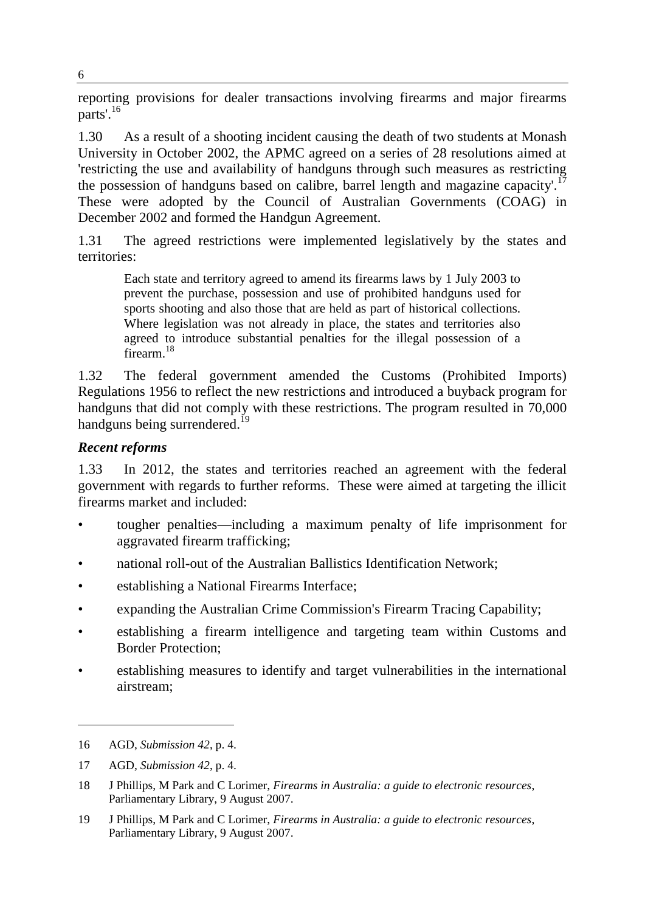reporting provisions for dealer transactions involving firearms and major firearms parts'.<sup>16</sup>

1.30 As a result of a shooting incident causing the death of two students at Monash University in October 2002, the APMC agreed on a series of 28 resolutions aimed at 'restricting the use and availability of handguns through such measures as restricting the possession of handguns based on calibre, barrel length and magazine capacity'.<sup>17</sup> These were adopted by the Council of Australian Governments (COAG) in December 2002 and formed the Handgun Agreement.

1.31 The agreed restrictions were implemented legislatively by the states and territories:

Each state and territory agreed to amend its firearms laws by 1 July 2003 to prevent the purchase, possession and use of prohibited handguns used for sports shooting and also those that are held as part of historical collections. Where legislation was not already in place, the states and territories also agreed to introduce substantial penalties for the illegal possession of a firearm<sup>18</sup>

1.32 The federal government amended the Customs (Prohibited Imports) Regulations 1956 to reflect the new restrictions and introduced a buyback program for handguns that did not comply with these restrictions. The program resulted in 70,000 handguns being surrendered.<sup>19</sup>

#### *Recent reforms*

1.33 In 2012, the states and territories reached an agreement with the federal government with regards to further reforms. These were aimed at targeting the illicit firearms market and included:

- tougher penalties—including a maximum penalty of life imprisonment for aggravated firearm trafficking;
- national roll-out of the Australian Ballistics Identification Network;
- establishing a National Firearms Interface;
- expanding the Australian Crime Commission's Firearm Tracing Capability;
- establishing a firearm intelligence and targeting team within Customs and Border Protection;
- establishing measures to identify and target vulnerabilities in the international airstream;

<sup>16</sup> AGD, *Submission 42*, p. 4.

<sup>17</sup> AGD, *Submission 42*, p. 4.

<sup>18</sup> J Phillips, M Park and C Lorimer, *Firearms in Australia: a guide to electronic resources*, Parliamentary Library, 9 August 2007.

<sup>19</sup> J Phillips, M Park and C Lorimer, *Firearms in Australia: a guide to electronic resources*, Parliamentary Library, 9 August 2007.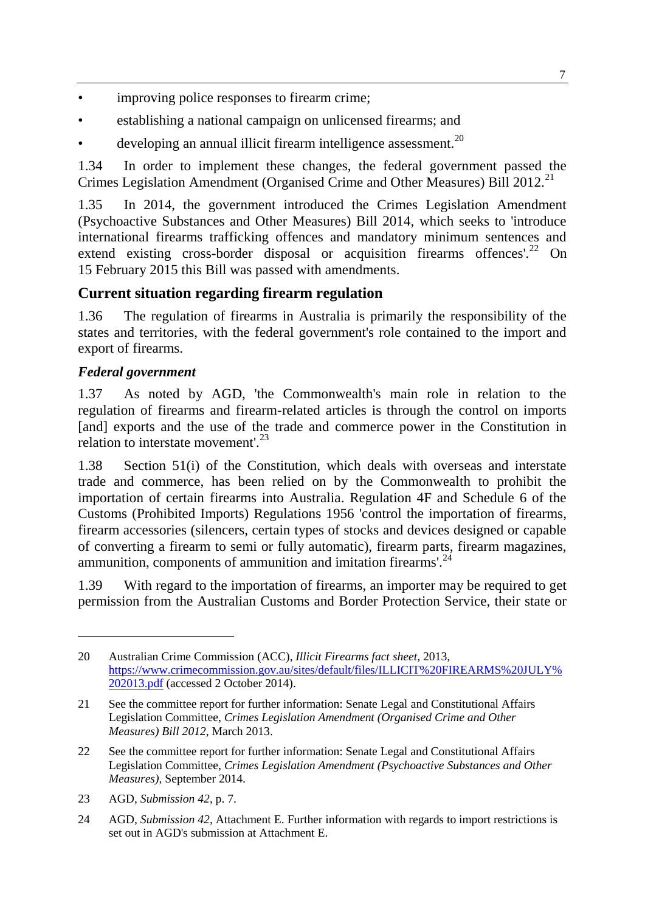- improving police responses to firearm crime;
- establishing a national campaign on unlicensed firearms; and
- developing an annual illicit firearm intelligence assessment.<sup>20</sup>

1.34 In order to implement these changes, the federal government passed the Crimes Legislation Amendment (Organised Crime and Other Measures) Bill 2012.<sup>21</sup>

1.35 In 2014, the government introduced the Crimes Legislation Amendment (Psychoactive Substances and Other Measures) Bill 2014, which seeks to 'introduce international firearms trafficking offences and mandatory minimum sentences and extend existing cross-border disposal or acquisition firearms offences'.<sup>22</sup> On 15 February 2015 this Bill was passed with amendments.

# **Current situation regarding firearm regulation**

1.36 The regulation of firearms in Australia is primarily the responsibility of the states and territories, with the federal government's role contained to the import and export of firearms.

#### *Federal government*

 $\overline{a}$ 

1.37 As noted by AGD, 'the Commonwealth's main role in relation to the regulation of firearms and firearm-related articles is through the control on imports [and] exports and the use of the trade and commerce power in the Constitution in relation to interstate movement'.<sup>23</sup>

1.38 Section 51(i) of the Constitution, which deals with overseas and interstate trade and commerce, has been relied on by the Commonwealth to prohibit the importation of certain firearms into Australia. Regulation 4F and Schedule 6 of the Customs (Prohibited Imports) Regulations 1956 'control the importation of firearms, firearm accessories (silencers, certain types of stocks and devices designed or capable of converting a firearm to semi or fully automatic), firearm parts, firearm magazines, ammunition, components of ammunition and imitation firearms'.<sup>24</sup>

1.39 With regard to the importation of firearms, an importer may be required to get permission from the Australian Customs and Border Protection Service, their state or

<sup>20</sup> Australian Crime Commission (ACC), *Illicit Firearms fact sheet*, 2013, [https://www.crimecommission.gov.au/sites/default/files/ILLICIT%20FIREARMS%20JULY%](https://www.crimecommission.gov.au/sites/default/files/ILLICIT%20FIREARMS%20JULY%202013.pdf) [202013.pdf](https://www.crimecommission.gov.au/sites/default/files/ILLICIT%20FIREARMS%20JULY%202013.pdf) (accessed 2 October 2014).

<sup>21</sup> See the committee report for further information: Senate Legal and Constitutional Affairs Legislation Committee, *Crimes Legislation Amendment (Organised Crime and Other Measures) Bill 2012*, March 2013.

<sup>22</sup> See the committee report for further information: Senate Legal and Constitutional Affairs Legislation Committee, *Crimes Legislation Amendment (Psychoactive Substances and Other Measures)*, September 2014.

<sup>23</sup> AGD, *Submission 42*, p. 7.

<sup>24</sup> AGD, *Submission 42*, Attachment E. Further information with regards to import restrictions is set out in AGD's submission at Attachment E.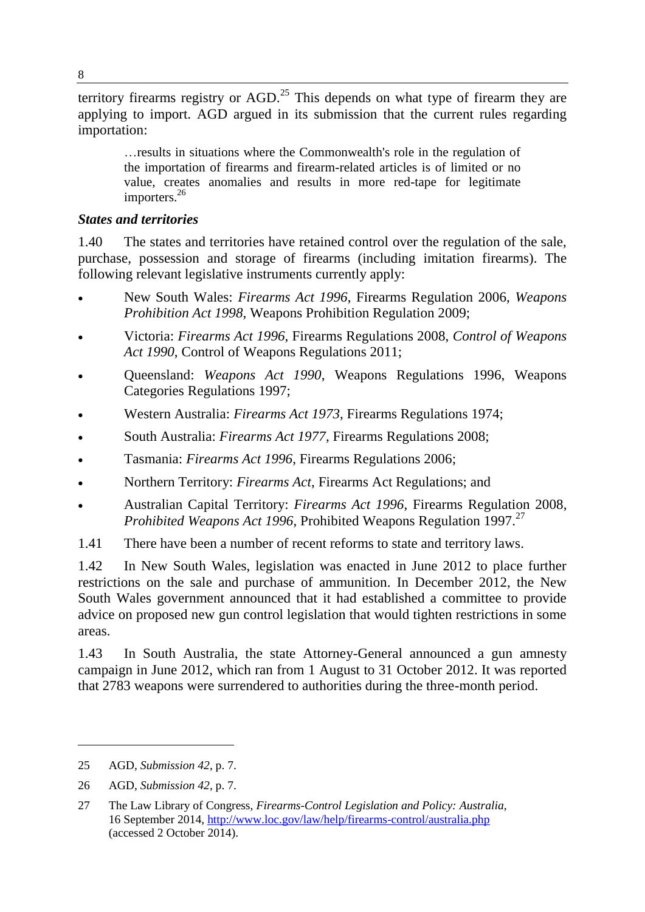territory firearms registry or AGD.<sup>25</sup> This depends on what type of firearm they are applying to import. AGD argued in its submission that the current rules regarding importation:

…results in situations where the Commonwealth's role in the regulation of the importation of firearms and firearm-related articles is of limited or no value, creates anomalies and results in more red-tape for legitimate importers.<sup>26</sup>

#### *States and territories*

1.40 The states and territories have retained control over the regulation of the sale, purchase, possession and storage of firearms (including imitation firearms). The following relevant legislative instruments currently apply:

- New South Wales: *Firearms Act 1996*, Firearms Regulation 2006, *Weapons Prohibition Act 1998*, Weapons Prohibition Regulation 2009;
- Victoria: *Firearms Act 1996*, Firearms Regulations 2008, *Control of Weapons Act 1990*, Control of Weapons Regulations 2011;
- Queensland: *Weapons Act 1990*, Weapons Regulations 1996, Weapons Categories Regulations 1997;
- Western Australia: *Firearms Act 1973*, Firearms Regulations 1974;
- South Australia: *Firearms Act 1977*, Firearms Regulations 2008;
- Tasmania: *Firearms Act 1996*, Firearms Regulations 2006;
- Northern Territory: *Firearms Act*, Firearms Act Regulations; and
- Australian Capital Territory: *Firearms Act 1996*, Firearms Regulation 2008, *Prohibited Weapons Act 1996*, Prohibited Weapons Regulation 1997.<sup>27</sup>
- 1.41 There have been a number of recent reforms to state and territory laws.

1.42 In New South Wales, legislation was enacted in June 2012 to place further restrictions on the sale and purchase of ammunition. In December 2012, the New South Wales government announced that it had established a committee to provide advice on proposed new gun control legislation that would tighten restrictions in some areas.

1.43 In South Australia, the state Attorney-General announced a gun amnesty campaign in June 2012, which ran from 1 August to 31 October 2012. It was reported that 2783 weapons were surrendered to authorities during the three-month period.

<sup>25</sup> AGD, *Submission 42*, p. 7.

<sup>26</sup> AGD, *Submission 42*, p. 7.

<sup>27</sup> The Law Library of Congress, *Firearms-Control Legislation and Policy: Australia*, 16 September 2014,<http://www.loc.gov/law/help/firearms-control/australia.php> (accessed 2 October 2014).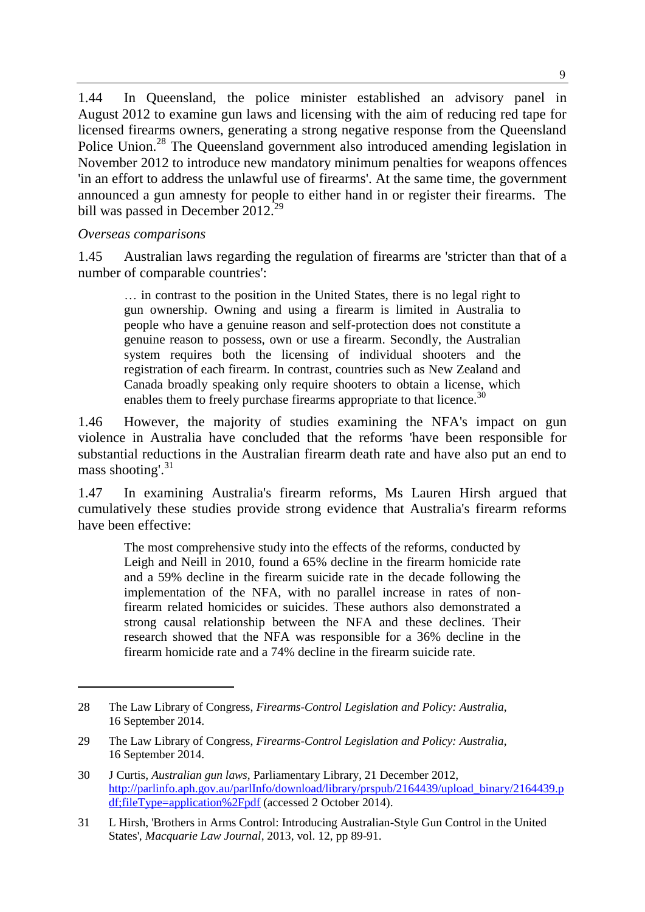1.44 In Queensland, the police minister established an advisory panel in August 2012 to examine gun laws and licensing with the aim of reducing red tape for licensed firearms owners, generating a strong negative response from the Queensland Police Union.<sup>28</sup> The Queensland government also introduced amending legislation in November 2012 to introduce new mandatory minimum penalties for weapons offences 'in an effort to address the unlawful use of firearms'. At the same time, the government announced a gun amnesty for people to either hand in or register their firearms. The bill was passed in December 2012.<sup>29</sup>

#### *Overseas comparisons*

 $\overline{a}$ 

1.45 Australian laws regarding the regulation of firearms are 'stricter than that of a number of comparable countries':

… in contrast to the position in the United States, there is no legal right to gun ownership. Owning and using a firearm is limited in Australia to people who have a genuine reason and self-protection does not constitute a genuine reason to possess, own or use a firearm. Secondly, the Australian system requires both the licensing of individual shooters and the registration of each firearm. In contrast, countries such as New Zealand and Canada broadly speaking only require shooters to obtain a license, which enables them to freely purchase firearms appropriate to that licence.<sup>30</sup>

1.46 However, the majority of studies examining the NFA's impact on gun violence in Australia have concluded that the reforms 'have been responsible for substantial reductions in the Australian firearm death rate and have also put an end to mass shooting'. $31$ 

1.47 In examining Australia's firearm reforms, Ms Lauren Hirsh argued that cumulatively these studies provide strong evidence that Australia's firearm reforms have been effective:

The most comprehensive study into the effects of the reforms, conducted by Leigh and Neill in 2010, found a 65% decline in the firearm homicide rate and a 59% decline in the firearm suicide rate in the decade following the implementation of the NFA, with no parallel increase in rates of nonfirearm related homicides or suicides. These authors also demonstrated a strong causal relationship between the NFA and these declines. Their research showed that the NFA was responsible for a 36% decline in the firearm homicide rate and a 74% decline in the firearm suicide rate.

<sup>28</sup> The Law Library of Congress, *Firearms-Control Legislation and Policy: Australia*, 16 September 2014.

<sup>29</sup> The Law Library of Congress, *Firearms-Control Legislation and Policy: Australia*, 16 September 2014.

<sup>30</sup> J Curtis, *Australian gun laws*, Parliamentary Library, 21 December 2012, [http://parlinfo.aph.gov.au/parlInfo/download/library/prspub/2164439/upload\\_binary/2164439.p](http://parlinfo.aph.gov.au/parlInfo/download/library/prspub/2164439/upload_binary/2164439.pdf;fileType=application%2Fpdf) [df;fileType=application%2Fpdf](http://parlinfo.aph.gov.au/parlInfo/download/library/prspub/2164439/upload_binary/2164439.pdf;fileType=application%2Fpdf) (accessed 2 October 2014).

<sup>31</sup> L Hirsh, 'Brothers in Arms Control: Introducing Australian-Style Gun Control in the United States', *Macquarie Law Journal*, 2013, vol. 12, pp 89-91.